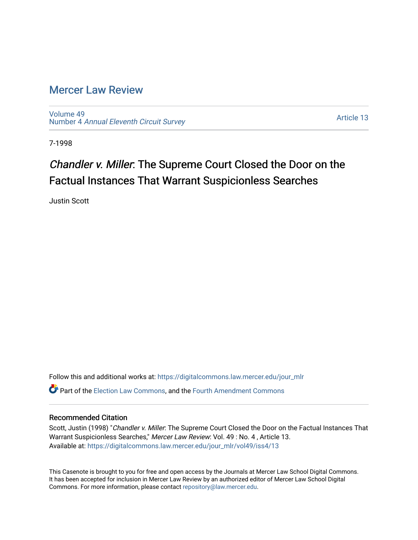## [Mercer Law Review](https://digitalcommons.law.mercer.edu/jour_mlr)

[Volume 49](https://digitalcommons.law.mercer.edu/jour_mlr/vol49) Number 4 [Annual Eleventh Circuit Survey](https://digitalcommons.law.mercer.edu/jour_mlr/vol49/iss4) 

[Article 13](https://digitalcommons.law.mercer.edu/jour_mlr/vol49/iss4/13) 

7-1998

# Chandler v. Miller: The Supreme Court Closed the Door on the Factual Instances That Warrant Suspicionless Searches

Justin Scott

Follow this and additional works at: [https://digitalcommons.law.mercer.edu/jour\\_mlr](https://digitalcommons.law.mercer.edu/jour_mlr?utm_source=digitalcommons.law.mercer.edu%2Fjour_mlr%2Fvol49%2Fiss4%2F13&utm_medium=PDF&utm_campaign=PDFCoverPages) Part of the [Election Law Commons](http://network.bepress.com/hgg/discipline/1121?utm_source=digitalcommons.law.mercer.edu%2Fjour_mlr%2Fvol49%2Fiss4%2F13&utm_medium=PDF&utm_campaign=PDFCoverPages), and the [Fourth Amendment Commons](http://network.bepress.com/hgg/discipline/1180?utm_source=digitalcommons.law.mercer.edu%2Fjour_mlr%2Fvol49%2Fiss4%2F13&utm_medium=PDF&utm_campaign=PDFCoverPages) 

#### Recommended Citation

Scott, Justin (1998) "Chandler v. Miller: The Supreme Court Closed the Door on the Factual Instances That Warrant Suspicionless Searches," Mercer Law Review: Vol. 49 : No. 4, Article 13. Available at: [https://digitalcommons.law.mercer.edu/jour\\_mlr/vol49/iss4/13](https://digitalcommons.law.mercer.edu/jour_mlr/vol49/iss4/13?utm_source=digitalcommons.law.mercer.edu%2Fjour_mlr%2Fvol49%2Fiss4%2F13&utm_medium=PDF&utm_campaign=PDFCoverPages) 

This Casenote is brought to you for free and open access by the Journals at Mercer Law School Digital Commons. It has been accepted for inclusion in Mercer Law Review by an authorized editor of Mercer Law School Digital Commons. For more information, please contact [repository@law.mercer.edu.](mailto:repository@law.mercer.edu)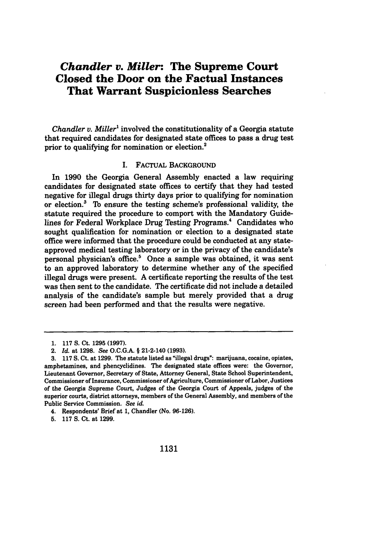### *Chandler v. Miller:* **The Supreme Court Closed the Door on the Factual Instances That Warrant Suspicionless Searches**

*Chandler v. Miller*<sup>1</sup> involved the constitutionality of a Georgia statute that required candidates for designated state offices to pass a drug test prior to qualifying for nomination or election.<sup>2</sup>

#### **I.** FACTUAL BACKGROUND

In **1990** the Georgia General Assembly enacted a law requiring candidates for designated state offices to certify that they had tested negative for illegal drugs thirty days prior to qualifying for nomination or election? **To** ensure the testing scheme's professional validity, the statute required the procedure to comport with the Mandatory Guidelines for Federal Workplace Drug Testing Programs.<sup>4</sup> Candidates who sought qualification for nomination or election to a designated state office were informed that the procedure could be conducted at any stateapproved medical testing laboratory or in the privacy of the candidate's personal physician's office? Once a sample was obtained, it was sent to an approved laboratory to determine whether any of the specified illegal drugs were present. **A** certificate reporting the results of the test was then sent to the candidate. The certificate did not include a detailed analysis of the candidate's sample but merely provided that a drug screen had been performed and that the results were negative.

<sup>1.</sup> **117 S.** Ct. **1295 (1997).**

<sup>2.</sup> *Id.* at **1298.** See **O.C.G.A.** § 21-2-140 **(1993).**

**<sup>3. 117</sup> S.** Ct. at **1299.** The statute listed as "illegal drugs": marijuana, cocaine, opiates, amphetamines, and phencyclidines. The designated state offices were: the Governor, Lieutenant Governor, Secretary of State, Attorney General, State School Superintendent, Commissioner of Insurance, Commissioner of Agriculture, Commissioner of Labor, Justices of the Georgia Supreme Court, Judges of the Georgia Court of Appeals, judges of the superior courts, district attorneys, members of the General Assembly, and members of the Public Service Commission. *See id.*

<sup>4.</sup> Respondents' Brief at **1,** Chandler (No. **96-126).**

**<sup>5. 117</sup> S.** Ct. at **1299.**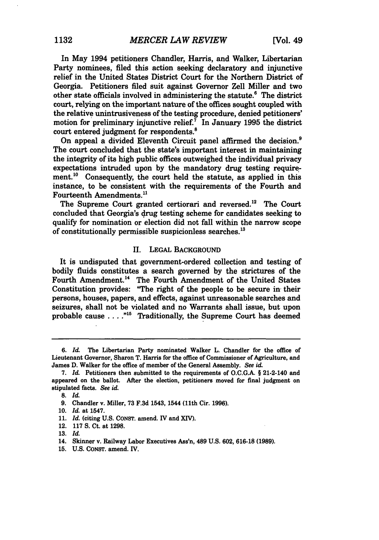In May 1994 petitioners Chandler, Harris, and Walker, Libertarian Party nominees, filed this action seeking declaratory and injunctive relief in the United States District Court for the Northern District of Georgia. Petitioners filed suit against Governor Zell Miller and two other state officials involved in administering the statute.6 The district court, relying on the important nature of the offices sought coupled with the relative unintrusiveness of the testing procedure, denied petitioners' motion for preliminary injunctive relief.' In January **1995** the district court entered judgment for respondents. <sup>8</sup>

On appeal a divided Eleventh Circuit panel affirmed the decision.<sup>9</sup> The court concluded that the state's important interest in maintaining the integrity of its high public offices outweighed the individual privacy expectations intruded upon **by** the mandatory drug testing requirement.<sup>10</sup> Consequently, the court held the statute, as applied in this instance, to be consistent with the requirements of the Fourth and Fourteenth Amendments.<sup>11</sup>

The Supreme Court granted certiorari and reversed.<sup>12</sup> The Court concluded that Georgia's drug testing scheme for candidates seeking to qualify for nomination or election did not fall within the narrow scope of constitutionally permissible suspicionless searches.<sup>13</sup>

#### II. **LEGAL** BACKGROUND

It is undisputed that government-ordered collection and testing of bodily fluids constitutes a search governed **by** the strictures of the Fourth Amendment.<sup>14</sup> The Fourth Amendment of the United States Constitution provides: "The right of the people to be secure in their persons, houses, papers, and effects, against unreasonable searches and seizures, shall not be violated and no Warrants shall issue, but upon probable cause . . . . <sup>"15</sup> Traditionally, the Supreme Court has deemed

**13.** *Id.*

**15. U.S. CONST.** amend. IV.

**<sup>6.</sup>** *Id* The Libertarian Party nominated Walker L. Chandler for the office of Lieutenant Governor, Sharon T. Harris for the office of Commissioner of Agriculture, and James **D.** Walker for the office of member of the General Assembly. *See id.*

**<sup>7.</sup>** *Id.* Petitioners then submitted to the requirements of **O.C.G.A.** § 21-2-140 and appeared on the ballot. After the election, petitioners moved for final judgment on stipulated facts. *See id.*

**<sup>8.</sup>** *Id.*

**<sup>9.</sup>** Chandler v. Miller, **73 F.3d** 1543, 1544 (11th Cir. **1996).**

**<sup>10.</sup>** *Id.* at 1547.

**<sup>11.</sup>** *Id.* (citing **U.S. CONST.** amend. IV and **XIV).**

<sup>12.</sup> **117 S.** Ct. at **1298.**

<sup>14.</sup> Skinner v. Railway Labor Executives Ass'n, 489 **U.S. 602, 616-18 (1989).**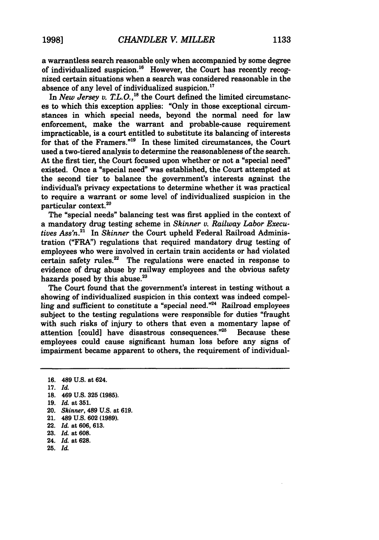a warrantless search reasonable only when accompanied **by** some degree of individualized suspicion.<sup>16</sup> However, the Court has recently recognized certain situations when a search was considered reasonable in the absence of any level of individualized suspicion.<sup>17</sup>

In *New Jersey v. T.L.O.*,<sup>18</sup> the Court defined the limited circumstances to which this exception applies: **"Only** in those exceptional circumstances in which special needs, beyond the normal need for law enforcement, make the warrant and probable-cause requirement impracticable, is a court entitled to substitute its balancing of interests for that of the Framers."<sup>19</sup> In these limited circumstances, the Court used a two-tiered analysis to determine the reasonableness of the search. At the first tier, the Court focused upon whether or not a "special need" existed. Once a "special need" was established, the Court attempted at the second tier to balance the government's interests against the individual's privacy expectations to determine whether it was practical to require a warrant or some level of individualized suspicion in the particular context.20

The "special needs" balancing test was first applied in the context of a mandatory drug testing scheme in *Skinner v. Railway Labor Executives Ass'n.2* In *Skinner* the Court upheld Federal Railroad Administration ("FRA") regulations that required mandatory drug testing of employees who were involved in certain train accidents or had violated certain safety rules.<sup>22</sup> The regulations were enacted in response to evidence of drug abuse **by** railway employees and the obvious safety hazards posed by this abuse.<sup>23</sup>

The Court found that the government's interest in testing without a showing of individualized suspicion in this context was indeed compelling and sufficient to constitute a "special need."24 Railroad employees subject to the testing regulations were responsible for duties "fraught with such risks of injury to others that even a momentary lapse of attention [could] have disastrous consequences."<sup>25</sup> Because these employees could cause significant human loss before any signs of impairment became apparent to others, the requirement of individual-

- **23.** *Id.* at **608.**
- 24. *Id.* at **628.**
- **25.** *Id*

**<sup>16.</sup>** 489 **U.s.** at 624.

**<sup>17.</sup>** *Id.*

**<sup>18.</sup>** 469 **U.S. 325 (1985).**

**<sup>19.</sup>** *Id.* at **351.**

<sup>20.</sup> *Skinner,* 489 **U.S.** at **619.**

**<sup>21.</sup>** 489 **U.S. 602 (1989).**

**<sup>22.</sup>** *Id.* at **606, 613.**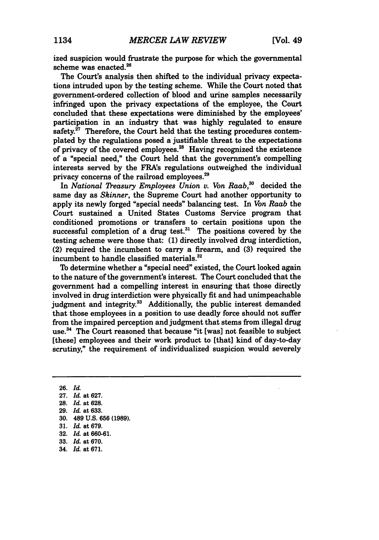ized suspicion would frustrate the purpose for which the governmental scheme was enacted.<sup>26</sup>

The Court's analysis then shifted to the individual privacy expectations intruded upon **by** the testing scheme. While the Court noted that government-ordered collection of blood and urine samples necessarily infringed upon the privacy expectations of the employee, the Court concluded that these expectations were diminished **by** the employees' participation in an industry that was **highly** regulated to ensure safety. $27$  Therefore, the Court held that the testing procedures contemplated **by** the regulations posed a justifiable threat to the expectations of privacy of the covered employees.<sup>28</sup> Having recognized the existence of a "special need," the Court held that the government's compelling interests served **by** the FRAs regulations outweighed the individual privacy concerns of the railroad employees.<sup>29</sup>

In *National Treasury Employees Union v. Von Raab*,<sup>30</sup> decided the same day as *Skinner,* the Supreme Court had another opportunity to apply its newly forged "special needs" balancing test. In *Von Raab* the Court sustained a United States Customs Service program that conditioned promotions or transfers to certain positions upon the successful completion of a drug test.<sup>31</sup> The positions covered by the testing scheme were those that: **(1)** directly involved drug interdiction, (2) required the incumbent to carry a firearm, and **(3)** required the incumbent to handle classified materials.<sup>32</sup>

To determine whether a "special need" existed, the Court looked again to the nature of the government's interest. The Court concluded that the government had a compelling interest in ensuring that those directly involved in drug interdiction were physically fit and had unimpeachable judgment and integrity.<sup>33</sup> Additionally, the public interest demanded that those employees in a position to use deadly force should not suffer from the impaired perception and judgment that stems from illegal drug use.<sup>34</sup> The Court reasoned that because "it [was] not feasible to subject [these] employees and their work product to [that] kind of day-to-day scrutiny," the requirement of individualized suspicion would severely

**26.** *Id.* **27.** *Id.* at **627. 28.** *Id.* at **628. 29.** *Id.* at **633. 30.** 489 **U.S. 656 (1989). 31.** *Id.* at **679. 32.** *Id.* at **660-61. 33.** *Id.* at **670.** 34. *Id.* at **671.**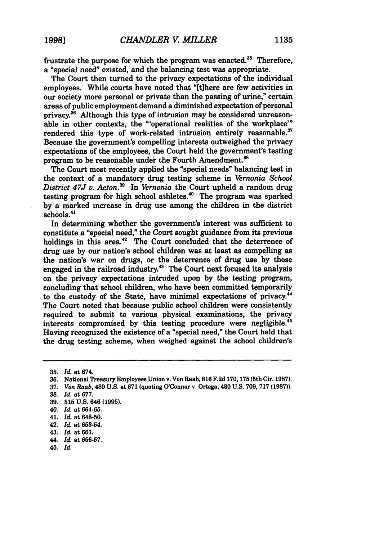frustrate the purpose for which the program was enacted. $35$  Therefore, a "special need" existed, and the balancing test was appropriate.

The Court then turned to the privacy expectations of the individual employees. While courts have noted that "[tihere are few activities in our society more personal or private than the passing of urine," certain areas of public employment demand a diminished expectation of personal privacy.<sup>36</sup> Although this type of intrusion may be considered unreasonable in other contexts, the "'operational realities of the workplace'" rendered this type of work-related intrusion entirely reasonable.<sup>37</sup> Because the government's compelling interests outweighed the privacy expectations of the employees, the Court held the government's testing program to be reasonable under the Fourth Amendment.<sup>38</sup>

The Court most recently applied the "special needs" balancing test in the context of a mandatory drug testing scheme in *Vernonia School District 47J v. Acton. <sup>9</sup>*In *Vernonia* the Court upheld a random drug testing program for high school athletes.<sup>40</sup> The program was sparked **by** a marked increase in drug use among the children in the district schools.<sup>41</sup>

In determining whether the government's interest was sufficient to constitute a "special need," the Court sought guidance from its previous holdings in this area.<sup>42</sup> The Court concluded that the deterrence of drug use **by** our nation's school children was at least as compelling as the nation's war on drugs, or the deterrence of drug use **by** those engaged in the railroad industry.<sup>43</sup> The Court next focused its analysis on the privacy expectations intruded upon **by** the testing program, concluding that school children, who have been committed temporarily to the custody of the State, have minimal expectations of privacy.<sup>44</sup> The Court noted that because public school children were consistently required to submit to various physical examinations, the privacy interests compromised **by** this testing procedure were negligible.45 Having recognized the existence of a "special need," the Court held that the drug testing scheme, when weighed against the school children's

45. *Id.*

**<sup>35.</sup>** *Id.* at 674.

*<sup>36.</sup>* National **Treasury** Employees Union v. Von Raab, **816 F.2d 170, 175** (5th Cir. **1987).**

**<sup>37.</sup>** *Von Raab,* 489 **U.S.** at **671** (quoting O'Connor v. Ortega, 480 **U.S. 709, 717 (1987)).**

**<sup>38.</sup>** *Id.* at **677.**

**<sup>39. 515</sup> U.S.** 646 **(1995).**

<sup>40.</sup> *Id.* at **664-65.**

<sup>41.</sup> *Id.* at **648-50.**

<sup>42.</sup> *Id.* at **653-54.**

*<sup>43.</sup> Id.* at **661.**

<sup>44.</sup> *Id* at **656-57.**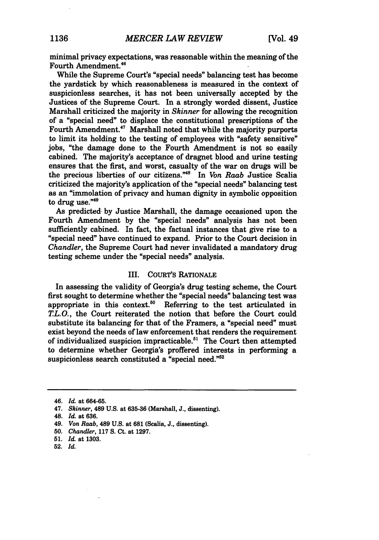minimal privacy expectations, was reasonable within the meaning of the Fourth Amendment.46

While the Supreme Court's "special needs" balancing test has become the yardstick **by** which reasonableness is measured in the context of suspicionless searches, it has not been universally accepted **by** the Justices of the Supreme Court. In a strongly worded dissent, Justice Marshall criticized the majority in *Skinner* for allowing the recognition of a "special need" to displace the constitutional prescriptions of the Fourth Amendment.<sup>47</sup> Marshall noted that while the majority purports to limit its holding to the testing of employees with "safety sensitive" jobs, "the damage done to the Fourth Amendment is not so easily cabined. The majority's acceptance of dragnet blood and urine testing ensures that the first, and worst, casualty of the war on drugs will be the precious liberties of our citizens."<sup>48</sup> In *Von Raab* Justice Scalia criticized the majority's application of the "special needs" balancing test as an "immolation of privacy and human dignity in symbolic opposition to drug **use.'**

As predicted- **by** Justice Marshall, the damage occasioned upon the Fourth Amendment **by** the "special needs" analysis has not been sufficiently cabined. In fact, the factual instances that give rise to a "special need" have continued to expand. Prior to the Court decision in *Chandler,* the Supreme Court had never invalidated a mandatory drug testing scheme under the "special needs" analysis.

#### **III.** CouRT's RATIONALE

In assessing the validity of Georgia's drug testing scheme, the Court first sought to determine whether the "special needs" balancing test was appropriate in this context.<sup>50</sup> Referring to the test articulated in *TL. 0.,* the Court reiterated the notion that before the Court could substitute its balancing for that of the Framers, a "special need" must exist beyond the needs of law enforcement that renders the requirement of individualized suspicion impracticable.<sup>51</sup> The Court then attempted to determine whether Georgia's proffered interests in performing a suspicionless search constituted a "special need."<sup>52</sup>

<sup>46.</sup> *Id.* at **664-65.**

<sup>47.</sup> *Skinner,* 489 **U.S.** at **635-36** (Marshall, **J.,** dissenting).

<sup>48.</sup> *Id.* at **636.**

<sup>49.</sup> *Von Raab,* 489 **U.S.** at **681** (Scalia, **J.,** dissenting).

**<sup>50.</sup>** *Chandler,* **117 S.** Ct. at **1297.**

**<sup>51.</sup>** *Id.* at **1303.**

<sup>52.</sup> *Id.*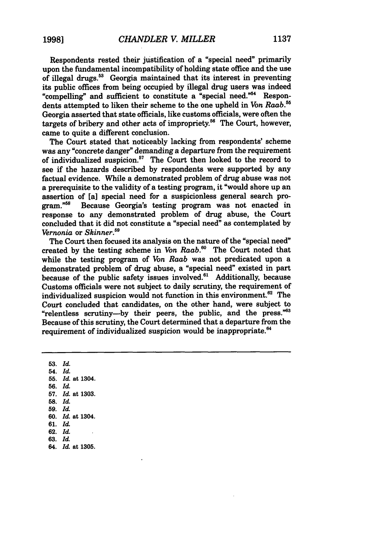Respondents rested their justification of a "special need" primarily upon the fundamental incompatibility of holding state office and the use of illegal drugs.58 Georgia maintained that its interest in preventing its public offices from being occupied by illegal drug users was indeed "compelling" and sufficient to constitute a "special need."54 Respondents attempted to liken their scheme to the one upheld in *Von Raab."'* Georgia asserted that state officials, like customs officials, were often the targets of bribery and other acts of impropriety." The Court, however, came to quite a different conclusion.

The Court stated that noticeably lacking from respondents' scheme was any "concrete danger" demanding a departure from the requirement of individualized suspicion. $57$  The Court then looked to the record to see if the hazards described by respondents were supported by any factual evidence. While a demonstrated problem of drug abuse was not a prerequisite to the validity of a testing program, it "would shore up an assertion of [a] special need for a suspicionless general search pro-<br>gram.<sup>756</sup> Because Georgia's testing program was not enacted in Because Georgia's testing program was not enacted in response to any demonstrated problem of drug abuse, the Court concluded that it did not constitute a "special need" as contemplated by *Vernonia* or *Skinner.59*

The Court then focused its analysis on the nature of the "special need" created by the testing scheme in *Von Raab*.<sup>60</sup> The Court noted that while the testing program of *Von Raab* was not predicated upon a demonstrated problem of drug abuse, a "special need" existed in part because of the public safety issues involved.<sup>61</sup> Additionally, because Customs officials were not subject to daily scrutiny, the requirement of individualized suspicion would not function in this environment.<sup>62</sup> The Court concluded that candidates, on the other hand, were subject to "relentless scrutiny-by their peers, the public, and the press."<sup>63</sup> Because of this scrutiny, the Court determined that a departure from the requirement of individualized suspicion would be inappropriate.<sup>64</sup>

**53.** *Id.* 54. *Id.* **55,** *Id.* at 1304. **56.** *Id* 57. *Id.* at **1303. 58.** *Id.* **59.** *Id.* **60.** *Id.* at 1304. **61.** *Id.* **62.** *Id.* **63.** *Id.* 64. *Id.* at **1305.**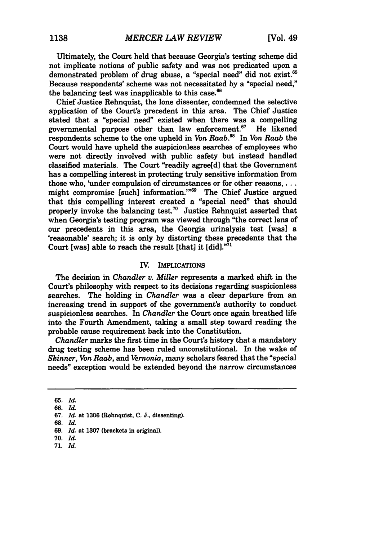Ultimately, the Court held that because Georgia's testing scheme did not implicate notions of public safety and was not predicated upon a demonstrated problem of drug abuse, a "special need" did not exist.<sup>65</sup> Because respondents' scheme was not necessitated **by** a "special need," the balancing test was inapplicable to this case. $66$ 

Chief Justice Rehnquist, the lone dissenter, condemned the selective application of the Court's precedent in this area. The Chief Justice stated that a "special need" existed when there was a compelling governmental purpose other than law enforcement. $67$  He likened respondents scheme to the one upheld in *Von Raab*.<sup>68</sup> In *Von Raab* the Court would have upheld the suspicionless searches of employees who were not directly involved with public safety but instead handled classified materials. The Court "readily agree[d] that the Government has a compelling interest in protecting truly sensitive information from those who, 'under compulsion of circumstances or for other reasons, ... might compromise [such] information."<sup>69</sup> The Chief Justice argued that this compelling interest created a "special need" that should properly invoke the balancing test.<sup>70</sup> Justice Rehnquist asserted that when Georgia's testing program was viewed through "the correct lens of our precedents in this area, the Georgia urinalysis test [was] a 'reasonable' search; it is only **by** distorting these precedents that the Court [was] able to reach the result [that] it [did]."7'

#### **IV.** IMPLICATIONS

The decision in *Chandler v. Miller* represents a marked shift in the Court's philosophy with respect to its decisions regarding suspicionless searches. The holding in *Chandler* was a clear departure from an increasing trend in support of the government's authority to conduct suspicionless searches. In *Chandler* the Court once again breathed life into the Fourth Amendment, taking a small step toward reading the probable cause requirement back into the Constitution.

*Chandler* marks the first time in the Court's history that a mandatory drug testing scheme has been ruled unconstitutional. In the wake of *Skinner, Von Raab, and Vernonia,* many scholars feared that the "special needs" exception would be extended beyond the narrow circumstances

**<sup>65.</sup>** *Id.*

**<sup>66.</sup>** *Id.*

**<sup>67.</sup>** *Id.* at **1306** (Rehnquist, **C. J.,** dissenting).

**<sup>68.</sup>** *Id.*

**<sup>69.</sup>** *Id* at **1307** (brackets in original).

**<sup>70.</sup>** *Id.*

**<sup>71.</sup>** *Id.*